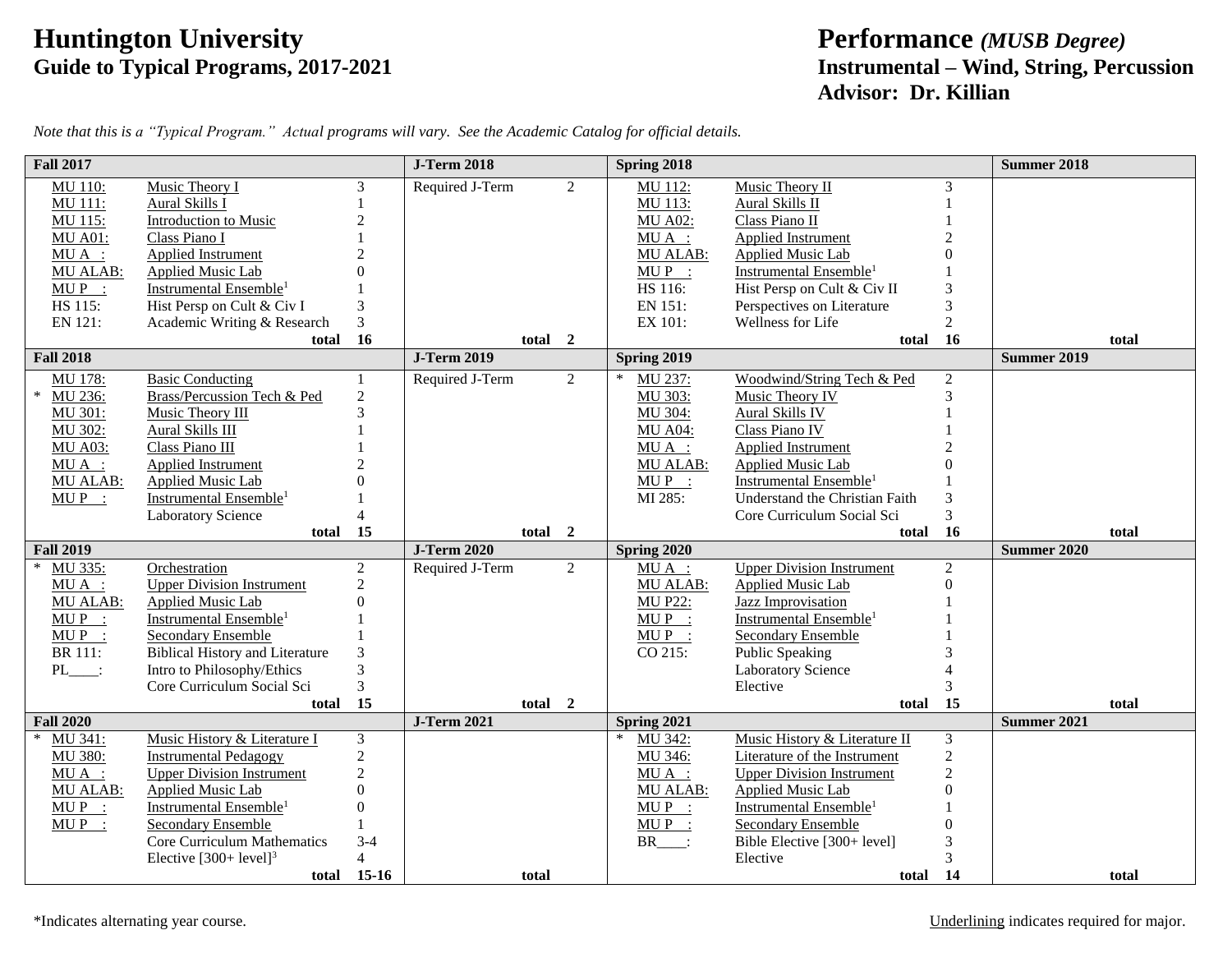## **Friddington University**<br>
Guide to Typical Programs, 2017-2021<br> **Example 19 Control Performance** *(MUSB Degree)*<br> **Instrumental – Wind, String, Peroperation**

## **Guide to Typical Programs, 2017-2021 Instrumental – Wind, String, Percussion Advisor: Dr. Killian**

| Note that this is a "Typical Program." Actual programs will vary. See the Academic Catalog for official details. |  |  |  |
|------------------------------------------------------------------------------------------------------------------|--|--|--|
|                                                                                                                  |  |  |  |
|                                                                                                                  |  |  |  |
|                                                                                                                  |  |  |  |

| <b>Fall 2017</b>  |                                        |                | <b>J-Term 2018</b> |                | Spring 2018       |                                    |                | <b>Summer 2018</b> |       |
|-------------------|----------------------------------------|----------------|--------------------|----------------|-------------------|------------------------------------|----------------|--------------------|-------|
| MU 110:           | Music Theory I                         | 3              | Required J-Term    | 2              | MU 112:           | Music Theory II                    | 3              |                    |       |
| MU 111:           | Aural Skills I                         |                |                    |                | MU 113:           | Aural Skills II                    |                |                    |       |
| MU 115:           | <b>Introduction to Music</b>           | $\overline{2}$ |                    |                | <b>MU A02:</b>    | Class Piano II                     |                |                    |       |
| <b>MU A01:</b>    | Class Piano I                          |                |                    |                | $MU A$ :          | Applied Instrument                 |                |                    |       |
| $MU A$ :          | <b>Applied Instrument</b>              |                |                    |                | MU ALAB:          | <b>Applied Music Lab</b>           |                |                    |       |
| <b>MU ALAB:</b>   | <b>Applied Music Lab</b>               |                |                    |                | $MUP$ :           | Instrumental Ensemble <sup>1</sup> |                |                    |       |
| $MUP$ :           | Instrumental Ensemble <sup>1</sup>     |                |                    |                | HS 116:           | Hist Persp on Cult & Civ II        |                |                    |       |
| HS 115:           | Hist Persp on Cult & Civ I             | 3              |                    |                | EN 151:           | Perspectives on Literature         | 3              |                    |       |
| EN 121:           | Academic Writing & Research            | 3              |                    |                | EX 101:           | Wellness for Life                  | $\overline{2}$ |                    |       |
|                   | total                                  | 16             | total 2            |                |                   | total                              | <b>16</b>      |                    | total |
| <b>Fall 2018</b>  |                                        |                | <b>J-Term 2019</b> |                | Spring 2019       |                                    |                | <b>Summer 2019</b> |       |
| MU 178:           | <b>Basic Conducting</b>                |                | Required J-Term    | 2              | MU 237:           | Woodwind/String Tech & Ped         | 2              |                    |       |
| MU 236:<br>$\ast$ | Brass/Percussion Tech & Ped            | $\overline{c}$ |                    |                | MU 303:           | Music Theory IV                    | 3              |                    |       |
| MU 301:           | Music Theory III                       | 3              |                    |                | MU 304:           | <b>Aural Skills IV</b>             |                |                    |       |
| MU 302:           | Aural Skills III                       |                |                    |                | <b>MU A04:</b>    | Class Piano IV                     |                |                    |       |
| <b>MU A03:</b>    | Class Piano III                        |                |                    |                | $MU A$ :          | <b>Applied Instrument</b>          |                |                    |       |
| $MU A$ :          | Applied Instrument                     |                |                    |                | <b>MU ALAB:</b>   | <b>Applied Music Lab</b>           |                |                    |       |
| <b>MU ALAB:</b>   | Applied Music Lab                      |                |                    |                | $MUP$ :           | Instrumental Ensemble <sup>1</sup> |                |                    |       |
| $MUP$ :           | Instrumental Ensemble <sup>1</sup>     |                |                    |                | MI 285:           | Understand the Christian Faith     |                |                    |       |
|                   | <b>Laboratory Science</b>              |                |                    |                |                   | Core Curriculum Social Sci         | 3              |                    |       |
|                   | total                                  | 15             | total 2            |                |                   | total 16                           |                |                    | total |
| <b>Fall 2019</b>  |                                        |                | <b>J-Term 2020</b> |                | Spring 2020       |                                    |                | <b>Summer 2020</b> |       |
| MU 335:           | Orchestration                          | $\overline{2}$ | Required J-Term    | $\overline{2}$ | $MU A$ :          | <b>Upper Division Instrument</b>   | $\overline{2}$ |                    |       |
| $MU A$ :          | <b>Upper Division Instrument</b>       | $\overline{2}$ |                    |                | MU ALAB:          | <b>Applied Music Lab</b>           | $\Omega$       |                    |       |
| MU ALAB:          | <b>Applied Music Lab</b>               | $\Omega$       |                    |                | <b>MU P22:</b>    | <b>Jazz Improvisation</b>          |                |                    |       |
| $MUP$ :           | Instrumental Ensemble <sup>1</sup>     |                |                    |                | $MUP$ :           | Instrumental Ensemble <sup>1</sup> |                |                    |       |
| $MUP$ :           | Secondary Ensemble                     |                |                    |                | $MUP$ :           | Secondary Ensemble                 |                |                    |       |
| <b>BR</b> 111:    | <b>Biblical History and Literature</b> |                |                    |                | CO 215:           | Public Speaking                    |                |                    |       |
| $PL$ :            | Intro to Philosophy/Ethics             |                |                    |                |                   | <b>Laboratory Science</b>          |                |                    |       |
|                   | Core Curriculum Social Sci             | 3              |                    |                |                   | Elective                           | 3              |                    |       |
|                   | total                                  | 15             | total 2            |                |                   | total                              | 15             |                    | total |
| <b>Fall 2020</b>  |                                        |                | <b>J-Term 2021</b> |                | Spring 2021       |                                    |                | <b>Summer 2021</b> |       |
| MU 341:           | Music History & Literature I           | 3              |                    |                | MU 342:           | Music History & Literature II      | 3              |                    |       |
| MU 380:           | <b>Instrumental Pedagogy</b>           | $\overline{c}$ |                    |                | MU 346:           | Literature of the Instrument       | $\overline{2}$ |                    |       |
| $MU A$ :          | <b>Upper Division Instrument</b>       | $\overline{2}$ |                    |                | $MU A$ :          | <b>Upper Division Instrument</b>   | $\overline{c}$ |                    |       |
| <b>MU ALAB:</b>   | <b>Applied Music Lab</b>               | $\Omega$       |                    |                | MU ALAB:          | <b>Applied Music Lab</b>           | $\Omega$       |                    |       |
| $MUP$ :           | Instrumental Ensemble <sup>1</sup>     | 0              |                    |                | $MUP$ :           | Instrumental Ensemble <sup>1</sup> |                |                    |       |
| $MUP$ :           | Secondary Ensemble                     |                |                    |                | $MUP$ :           | Secondary Ensemble                 |                |                    |       |
|                   | <b>Core Curriculum Mathematics</b>     | $3-4$          |                    |                | $BR$ <sub>:</sub> | Bible Elective [300+ level]        |                |                    |       |
|                   | Elective $[300+level]^3$               | $\overline{4}$ |                    |                |                   | Elective                           |                |                    |       |
|                   |                                        | total 15-16    | total              |                |                   | total 14                           |                |                    | total |